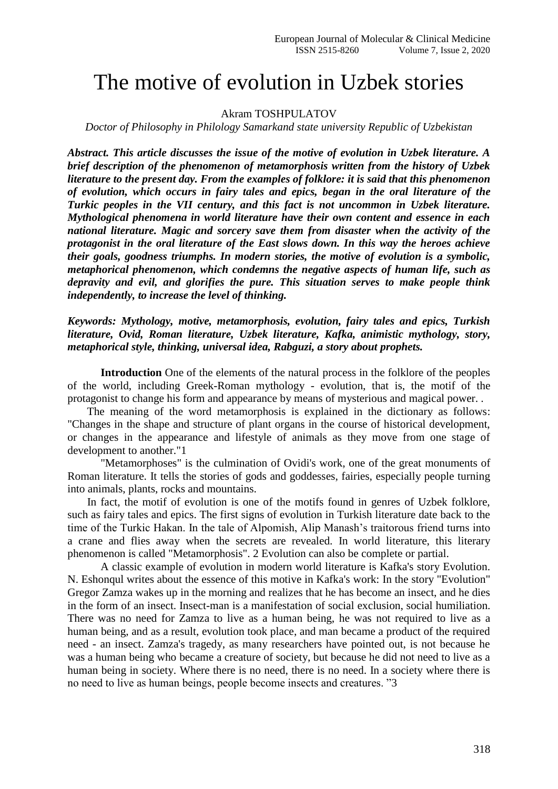## The motive of evolution in Uzbek stories

## Akram TOSHPULATOV

*Doctor of Philosophy in Philology Samarkand state university Republic of Uzbekistan*

*Abstract. This article discusses the issue of the motive of evolution in Uzbek literature. A brief description of the phenomenon of metamorphosis written from the history of Uzbek literature to the present day. From the examples of folklore: it is said that this phenomenon of evolution, which occurs in fairy tales and epics, began in the oral literature of the Turkic peoples in the VII century, and this fact is not uncommon in Uzbek literature. Mythological phenomena in world literature have their own content and essence in each national literature. Magic and sorcery save them from disaster when the activity of the protagonist in the oral literature of the East slows down. In this way the heroes achieve their goals, goodness triumphs. In modern stories, the motive of evolution is a symbolic, metaphorical phenomenon, which condemns the negative aspects of human life, such as depravity and evil, and glorifies the pure. This situation serves to make people think independently, to increase the level of thinking.*

*Keywords: Mythology, motive, metamorphosis, evolution, fairy tales and epics, Turkish literature, Ovid, Roman literature, Uzbek literature, Kafka, animistic mythology, story, metaphorical style, thinking, universal idea, Rabguzi, a story about prophets.*

**Introduction** One of the elements of the natural process in the folklore of the peoples of the world, including Greek-Roman mythology - evolution, that is, the motif of the protagonist to change his form and appearance by means of mysterious and magical power. .

 The meaning of the word metamorphosis is explained in the dictionary as follows: "Changes in the shape and structure of plant organs in the course of historical development, or changes in the appearance and lifestyle of animals as they move from one stage of development to another."1

"Metamorphoses" is the culmination of Ovidi's work, one of the great monuments of Roman literature. It tells the stories of gods and goddesses, fairies, especially people turning into animals, plants, rocks and mountains.

 In fact, the motif of evolution is one of the motifs found in genres of Uzbek folklore, such as fairy tales and epics. The first signs of evolution in Turkish literature date back to the time of the Turkic Hakan. In the tale of Alpomish, Alip Manash's traitorous friend turns into a crane and flies away when the secrets are revealed. In world literature, this literary phenomenon is called "Metamorphosis". 2 Evolution can also be complete or partial.

A classic example of evolution in modern world literature is Kafka's story Evolution. N. Eshonqul writes about the essence of this motive in Kafka's work: In the story "Evolution" Gregor Zamza wakes up in the morning and realizes that he has become an insect, and he dies in the form of an insect. Insect-man is a manifestation of social exclusion, social humiliation. There was no need for Zamza to live as a human being, he was not required to live as a human being, and as a result, evolution took place, and man became a product of the required need - an insect. Zamza's tragedy, as many researchers have pointed out, is not because he was a human being who became a creature of society, but because he did not need to live as a human being in society. Where there is no need, there is no need. In a society where there is no need to live as human beings, people become insects and creatures. "3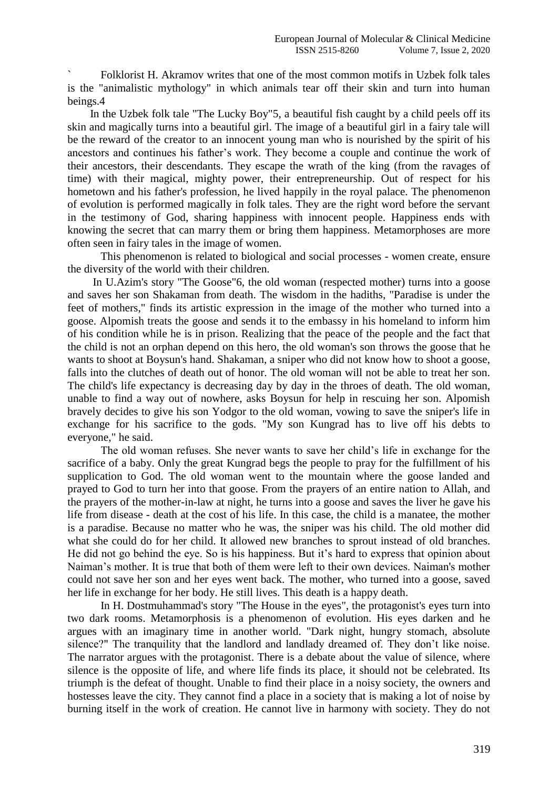` Folklorist H. Akramov writes that one of the most common motifs in Uzbek folk tales is the "animalistic mythology" in which animals tear off their skin and turn into human beings.4

 In the Uzbek folk tale "The Lucky Boy"5, a beautiful fish caught by a child peels off its skin and magically turns into a beautiful girl. The image of a beautiful girl in a fairy tale will be the reward of the creator to an innocent young man who is nourished by the spirit of his ancestors and continues his father's work. They become a couple and continue the work of their ancestors, their descendants. They escape the wrath of the king (from the ravages of time) with their magical, mighty power, their entrepreneurship. Out of respect for his hometown and his father's profession, he lived happily in the royal palace. The phenomenon of evolution is performed magically in folk tales. They are the right word before the servant in the testimony of God, sharing happiness with innocent people. Happiness ends with knowing the secret that can marry them or bring them happiness. Metamorphoses are more often seen in fairy tales in the image of women.

This phenomenon is related to biological and social processes - women create, ensure the diversity of the world with their children.

 In U.Azim's story "The Goose"6, the old woman (respected mother) turns into a goose and saves her son Shakaman from death. The wisdom in the hadiths, "Paradise is under the feet of mothers," finds its artistic expression in the image of the mother who turned into a goose. Alpomish treats the goose and sends it to the embassy in his homeland to inform him of his condition while he is in prison. Realizing that the peace of the people and the fact that the child is not an orphan depend on this hero, the old woman's son throws the goose that he wants to shoot at Boysun's hand. Shakaman, a sniper who did not know how to shoot a goose, falls into the clutches of death out of honor. The old woman will not be able to treat her son. The child's life expectancy is decreasing day by day in the throes of death. The old woman, unable to find a way out of nowhere, asks Boysun for help in rescuing her son. Alpomish bravely decides to give his son Yodgor to the old woman, vowing to save the sniper's life in exchange for his sacrifice to the gods. "My son Kungrad has to live off his debts to everyone," he said.

The old woman refuses. She never wants to save her child's life in exchange for the sacrifice of a baby. Only the great Kungrad begs the people to pray for the fulfillment of his supplication to God. The old woman went to the mountain where the goose landed and prayed to God to turn her into that goose. From the prayers of an entire nation to Allah, and the prayers of the mother-in-law at night, he turns into a goose and saves the liver he gave his life from disease - death at the cost of his life. In this case, the child is a manatee, the mother is a paradise. Because no matter who he was, the sniper was his child. The old mother did what she could do for her child. It allowed new branches to sprout instead of old branches. He did not go behind the eye. So is his happiness. But it's hard to express that opinion about Naiman's mother. It is true that both of them were left to their own devices. Naiman's mother could not save her son and her eyes went back. The mother, who turned into a goose, saved her life in exchange for her body. He still lives. This death is a happy death.

In H. Dostmuhammad's story "The House in the eyes", the protagonist's eyes turn into two dark rooms. Metamorphosis is a phenomenon of evolution. His eyes darken and he argues with an imaginary time in another world. "Dark night, hungry stomach, absolute silence?" The tranquility that the landlord and landlady dreamed of. They don't like noise. The narrator argues with the protagonist. There is a debate about the value of silence, where silence is the opposite of life, and where life finds its place, it should not be celebrated. Its triumph is the defeat of thought. Unable to find their place in a noisy society, the owners and hostesses leave the city. They cannot find a place in a society that is making a lot of noise by burning itself in the work of creation. He cannot live in harmony with society. They do not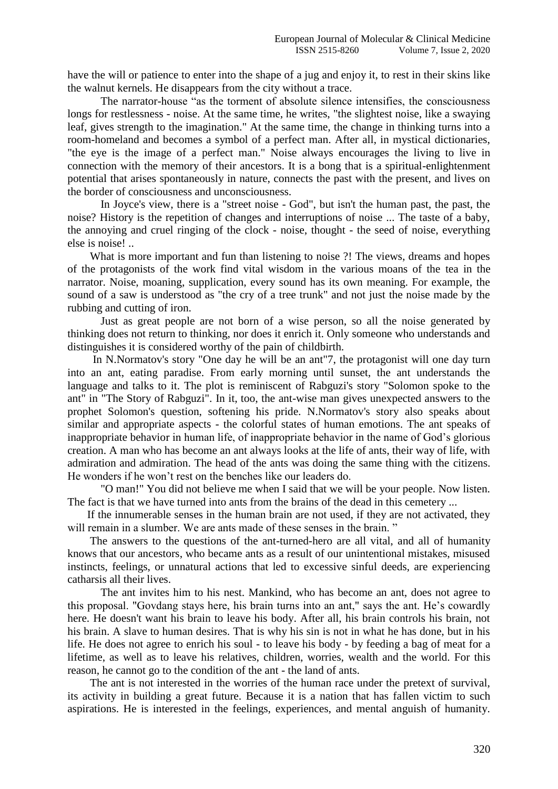have the will or patience to enter into the shape of a jug and enjoy it, to rest in their skins like the walnut kernels. He disappears from the city without a trace.

The narrator-house "as the torment of absolute silence intensifies, the consciousness longs for restlessness - noise. At the same time, he writes, "the slightest noise, like a swaying leaf, gives strength to the imagination." At the same time, the change in thinking turns into a room-homeland and becomes a symbol of a perfect man. After all, in mystical dictionaries, "the eye is the image of a perfect man." Noise always encourages the living to live in connection with the memory of their ancestors. It is a bong that is a spiritual-enlightenment potential that arises spontaneously in nature, connects the past with the present, and lives on the border of consciousness and unconsciousness.

In Joyce's view, there is a "street noise - God", but isn't the human past, the past, the noise? History is the repetition of changes and interruptions of noise ... The taste of a baby, the annoying and cruel ringing of the clock - noise, thought - the seed of noise, everything else is noise! ..

What is more important and fun than listening to noise ?! The views, dreams and hopes of the protagonists of the work find vital wisdom in the various moans of the tea in the narrator. Noise, moaning, supplication, every sound has its own meaning. For example, the sound of a saw is understood as "the cry of a tree trunk" and not just the noise made by the rubbing and cutting of iron.

Just as great people are not born of a wise person, so all the noise generated by thinking does not return to thinking, nor does it enrich it. Only someone who understands and distinguishes it is considered worthy of the pain of childbirth.

 In N.Normatov's story "One day he will be an ant"7, the protagonist will one day turn into an ant, eating paradise. From early morning until sunset, the ant understands the language and talks to it. The plot is reminiscent of Rabguzi's story "Solomon spoke to the ant" in "The Story of Rabguzi". In it, too, the ant-wise man gives unexpected answers to the prophet Solomon's question, softening his pride. N.Normatov's story also speaks about similar and appropriate aspects - the colorful states of human emotions. The ant speaks of inappropriate behavior in human life, of inappropriate behavior in the name of God's glorious creation. A man who has become an ant always looks at the life of ants, their way of life, with admiration and admiration. The head of the ants was doing the same thing with the citizens. He wonders if he won't rest on the benches like our leaders do.

"O man!" You did not believe me when I said that we will be your people. Now listen. The fact is that we have turned into ants from the brains of the dead in this cemetery ...

 If the innumerable senses in the human brain are not used, if they are not activated, they will remain in a slumber. We are ants made of these senses in the brain."

 The answers to the questions of the ant-turned-hero are all vital, and all of humanity knows that our ancestors, who became ants as a result of our unintentional mistakes, misused instincts, feelings, or unnatural actions that led to excessive sinful deeds, are experiencing catharsis all their lives.

The ant invites him to his nest. Mankind, who has become an ant, does not agree to this proposal. "Govdang stays here, his brain turns into an ant," says the ant. He's cowardly here. He doesn't want his brain to leave his body. After all, his brain controls his brain, not his brain. A slave to human desires. That is why his sin is not in what he has done, but in his life. He does not agree to enrich his soul - to leave his body - by feeding a bag of meat for a lifetime, as well as to leave his relatives, children, worries, wealth and the world. For this reason, he cannot go to the condition of the ant - the land of ants.

 The ant is not interested in the worries of the human race under the pretext of survival, its activity in building a great future. Because it is a nation that has fallen victim to such aspirations. He is interested in the feelings, experiences, and mental anguish of humanity.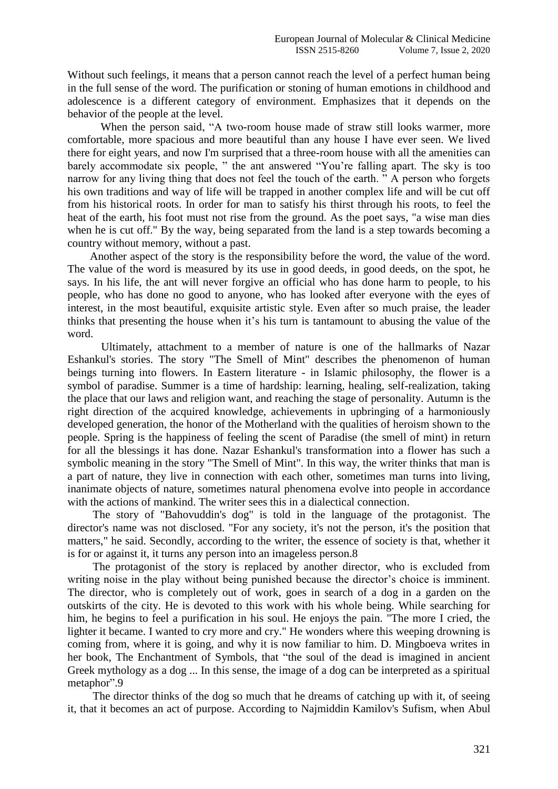Without such feelings, it means that a person cannot reach the level of a perfect human being in the full sense of the word. The purification or stoning of human emotions in childhood and adolescence is a different category of environment. Emphasizes that it depends on the behavior of the people at the level.

When the person said, "A two-room house made of straw still looks warmer, more comfortable, more spacious and more beautiful than any house I have ever seen. We lived there for eight years, and now I'm surprised that a three-room house with all the amenities can barely accommodate six people, " the ant answered "You're falling apart. The sky is too narrow for any living thing that does not feel the touch of the earth. " A person who forgets his own traditions and way of life will be trapped in another complex life and will be cut off from his historical roots. In order for man to satisfy his thirst through his roots, to feel the heat of the earth, his foot must not rise from the ground. As the poet says, "a wise man dies when he is cut off." By the way, being separated from the land is a step towards becoming a country without memory, without a past.

 Another aspect of the story is the responsibility before the word, the value of the word. The value of the word is measured by its use in good deeds, in good deeds, on the spot, he says. In his life, the ant will never forgive an official who has done harm to people, to his people, who has done no good to anyone, who has looked after everyone with the eyes of interest, in the most beautiful, exquisite artistic style. Even after so much praise, the leader thinks that presenting the house when it's his turn is tantamount to abusing the value of the word.

 Ultimately, attachment to a member of nature is one of the hallmarks of Nazar Eshankul's stories. The story "The Smell of Mint" describes the phenomenon of human beings turning into flowers. In Eastern literature - in Islamic philosophy, the flower is a symbol of paradise. Summer is a time of hardship: learning, healing, self-realization, taking the place that our laws and religion want, and reaching the stage of personality. Autumn is the right direction of the acquired knowledge, achievements in upbringing of a harmoniously developed generation, the honor of the Motherland with the qualities of heroism shown to the people. Spring is the happiness of feeling the scent of Paradise (the smell of mint) in return for all the blessings it has done. Nazar Eshankul's transformation into a flower has such a symbolic meaning in the story "The Smell of Mint". In this way, the writer thinks that man is a part of nature, they live in connection with each other, sometimes man turns into living, inanimate objects of nature, sometimes natural phenomena evolve into people in accordance with the actions of mankind. The writer sees this in a dialectical connection.

The story of "Bahovuddin's dog" is told in the language of the protagonist. The director's name was not disclosed. "For any society, it's not the person, it's the position that matters," he said. Secondly, according to the writer, the essence of society is that, whether it is for or against it, it turns any person into an imageless person.8

The protagonist of the story is replaced by another director, who is excluded from writing noise in the play without being punished because the director's choice is imminent. The director, who is completely out of work, goes in search of a dog in a garden on the outskirts of the city. He is devoted to this work with his whole being. While searching for him, he begins to feel a purification in his soul. He enjoys the pain. "The more I cried, the lighter it became. I wanted to cry more and cry." He wonders where this weeping drowning is coming from, where it is going, and why it is now familiar to him. D. Mingboeva writes in her book, The Enchantment of Symbols, that "the soul of the dead is imagined in ancient Greek mythology as a dog ... In this sense, the image of a dog can be interpreted as a spiritual metaphor".9

The director thinks of the dog so much that he dreams of catching up with it, of seeing it, that it becomes an act of purpose. According to Najmiddin Kamilov's Sufism, when Abul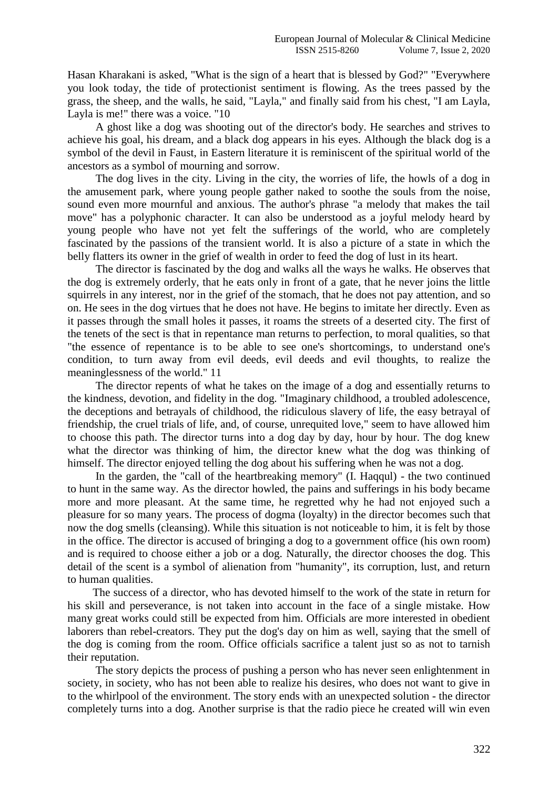Hasan Kharakani is asked, "What is the sign of a heart that is blessed by God?" "Everywhere you look today, the tide of protectionist sentiment is flowing. As the trees passed by the grass, the sheep, and the walls, he said, "Layla," and finally said from his chest, "I am Layla, Layla is me!" there was a voice. "10

A ghost like a dog was shooting out of the director's body. He searches and strives to achieve his goal, his dream, and a black dog appears in his eyes. Although the black dog is a symbol of the devil in Faust, in Eastern literature it is reminiscent of the spiritual world of the ancestors as a symbol of mourning and sorrow.

The dog lives in the city. Living in the city, the worries of life, the howls of a dog in the amusement park, where young people gather naked to soothe the souls from the noise, sound even more mournful and anxious. The author's phrase "a melody that makes the tail move" has a polyphonic character. It can also be understood as a joyful melody heard by young people who have not yet felt the sufferings of the world, who are completely fascinated by the passions of the transient world. It is also a picture of a state in which the belly flatters its owner in the grief of wealth in order to feed the dog of lust in its heart.

The director is fascinated by the dog and walks all the ways he walks. He observes that the dog is extremely orderly, that he eats only in front of a gate, that he never joins the little squirrels in any interest, nor in the grief of the stomach, that he does not pay attention, and so on. He sees in the dog virtues that he does not have. He begins to imitate her directly. Even as it passes through the small holes it passes, it roams the streets of a deserted city. The first of the tenets of the sect is that in repentance man returns to perfection, to moral qualities, so that "the essence of repentance is to be able to see one's shortcomings, to understand one's condition, to turn away from evil deeds, evil deeds and evil thoughts, to realize the meaninglessness of the world." 11

The director repents of what he takes on the image of a dog and essentially returns to the kindness, devotion, and fidelity in the dog. "Imaginary childhood, a troubled adolescence, the deceptions and betrayals of childhood, the ridiculous slavery of life, the easy betrayal of friendship, the cruel trials of life, and, of course, unrequited love," seem to have allowed him to choose this path. The director turns into a dog day by day, hour by hour. The dog knew what the director was thinking of him, the director knew what the dog was thinking of himself. The director enjoyed telling the dog about his suffering when he was not a dog.

In the garden, the "call of the heartbreaking memory" (I. Haqqul) - the two continued to hunt in the same way. As the director howled, the pains and sufferings in his body became more and more pleasant. At the same time, he regretted why he had not enjoyed such a pleasure for so many years. The process of dogma (loyalty) in the director becomes such that now the dog smells (cleansing). While this situation is not noticeable to him, it is felt by those in the office. The director is accused of bringing a dog to a government office (his own room) and is required to choose either a job or a dog. Naturally, the director chooses the dog. This detail of the scent is a symbol of alienation from "humanity", its corruption, lust, and return to human qualities.

The success of a director, who has devoted himself to the work of the state in return for his skill and perseverance, is not taken into account in the face of a single mistake. How many great works could still be expected from him. Officials are more interested in obedient laborers than rebel-creators. They put the dog's day on him as well, saying that the smell of the dog is coming from the room. Office officials sacrifice a talent just so as not to tarnish their reputation.

The story depicts the process of pushing a person who has never seen enlightenment in society, in society, who has not been able to realize his desires, who does not want to give in to the whirlpool of the environment. The story ends with an unexpected solution - the director completely turns into a dog. Another surprise is that the radio piece he created will win even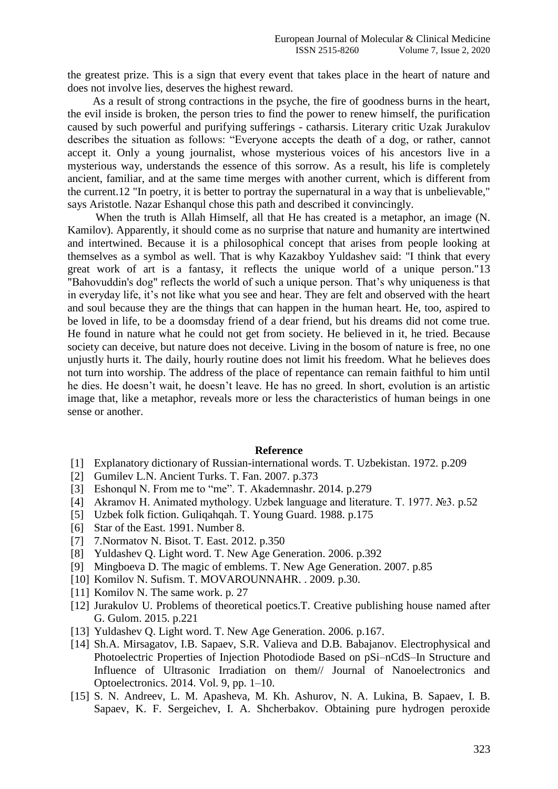the greatest prize. This is a sign that every event that takes place in the heart of nature and does not involve lies, deserves the highest reward.

As a result of strong contractions in the psyche, the fire of goodness burns in the heart, the evil inside is broken, the person tries to find the power to renew himself, the purification caused by such powerful and purifying sufferings - catharsis. Literary critic Uzak Jurakulov describes the situation as follows: "Everyone accepts the death of a dog, or rather, cannot accept it. Only a young journalist, whose mysterious voices of his ancestors live in a mysterious way, understands the essence of this sorrow. As a result, his life is completely ancient, familiar, and at the same time merges with another current, which is different from the current.12 "In poetry, it is better to portray the supernatural in a way that is unbelievable," says Aristotle. Nazar Eshanqul chose this path and described it convincingly.

When the truth is Allah Himself, all that He has created is a metaphor, an image (N. Kamilov). Apparently, it should come as no surprise that nature and humanity are intertwined and intertwined. Because it is a philosophical concept that arises from people looking at themselves as a symbol as well. That is why Kazakboy Yuldashev said: "I think that every great work of art is a fantasy, it reflects the unique world of a unique person."13 "Bahovuddin's dog" reflects the world of such a unique person. That's why uniqueness is that in everyday life, it's not like what you see and hear. They are felt and observed with the heart and soul because they are the things that can happen in the human heart. He, too, aspired to be loved in life, to be a doomsday friend of a dear friend, but his dreams did not come true. He found in nature what he could not get from society. He believed in it, he tried. Because society can deceive, but nature does not deceive. Living in the bosom of nature is free, no one unjustly hurts it. The daily, hourly routine does not limit his freedom. What he believes does not turn into worship. The address of the place of repentance can remain faithful to him until he dies. He doesn't wait, he doesn't leave. He has no greed. In short, evolution is an artistic image that, like a metaphor, reveals more or less the characteristics of human beings in one sense or another.

## **Reference**

- [1] Explanatory dictionary of Russian-international words. T. Uzbekistan. 1972. p.209
- [2] Gumilev L.N. Ancient Turks. T. Fan. 2007. p.373
- [3] Eshonqul N. From me to "me". T. Akademnashr. 2014. p.279
- [4] Akramov H. Animated mythology. Uzbek language and literature. T. 1977. №3. p.52
- [5] Uzbek folk fiction. Guliqahqah. T. Young Guard. 1988. p.175
- [6] Star of the East. 1991. Number 8.
- [7] 7.Normatov N. Bisot. T. East. 2012. p.350
- [8] Yuldashev Q. Light word. T. New Age Generation. 2006. p.392
- [9] Mingboeva D. The magic of emblems. T. New Age Generation. 2007. p.85
- [10] Komilov N. Sufism. T. MOVAROUNNAHR. . 2009. p.30.
- [11] Komilov N. The same work. p. 27
- [12] Jurakulov U. Problems of theoretical poetics.T. Creative publishing house named after G. Gulom. 2015. p.221
- [13] Yuldashev Q. Light word. T. New Age Generation. 2006. p.167.
- [14] Sh.A. Mirsagatov, I.B. Sapaev, S.R. Valieva and D.B. Babajanov. Electrophysical and Photoelectric Properties of Injection Photodiode Based on pSi–nCdS–In Structure and Influence of Ultrasonic Irradiation on them// Journal of Nanoelectronics and Optoelectronics. 2014. Vol. 9, pp. 1–10.
- [15] S. N. Andreev, L. M. Apasheva, M. Kh. Ashurov, N. A. Lukina, B. Sapaev, I. B. Sapaev, K. F. Sergeichev, I. A. Shcherbakov. Obtaining pure hydrogen peroxide